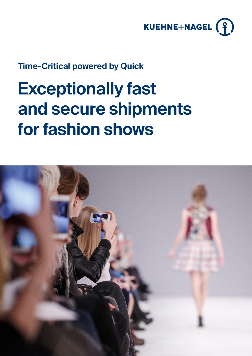

## **Time-Critical powered by Quick**

# **Exceptionally fast and secure shipments for fashion shows**